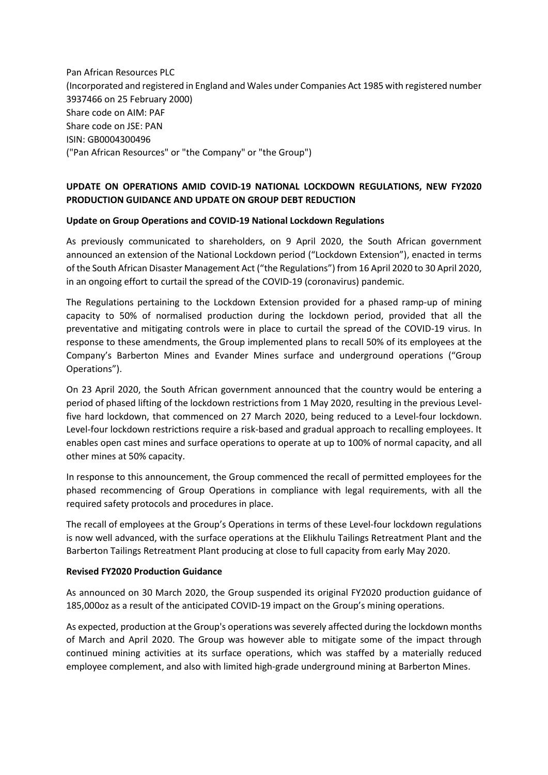Pan African Resources PLC (Incorporated and registered in England and Wales under Companies Act 1985 with registered number 3937466 on 25 February 2000) Share code on AIM: PAF Share code on JSE: PAN ISIN: GB0004300496 ("Pan African Resources" or "the Company" or "the Group")

### **UPDATE ON OPERATIONS AMID COVID-19 NATIONAL LOCKDOWN REGULATIONS, NEW FY2020 PRODUCTION GUIDANCE AND UPDATE ON GROUP DEBT REDUCTION**

### **Update on Group Operations and COVID-19 National Lockdown Regulations**

As previously communicated to shareholders, on 9 April 2020, the South African government announced an extension of the National Lockdown period ("Lockdown Extension"), enacted in terms of the South African Disaster Management Act ("the Regulations") from 16 April 2020 to 30 April 2020, in an ongoing effort to curtail the spread of the COVID-19 (coronavirus) pandemic.

The Regulations pertaining to the Lockdown Extension provided for a phased ramp-up of mining capacity to 50% of normalised production during the lockdown period, provided that all the preventative and mitigating controls were in place to curtail the spread of the COVID-19 virus. In response to these amendments, the Group implemented plans to recall 50% of its employees at the Company's Barberton Mines and Evander Mines surface and underground operations ("Group Operations").

On 23 April 2020, the South African government announced that the country would be entering a period of phased lifting of the lockdown restrictions from 1 May 2020, resulting in the previous Levelfive hard lockdown, that commenced on 27 March 2020, being reduced to a Level-four lockdown. Level-four lockdown restrictions require a risk-based and gradual approach to recalling employees. It enables open cast mines and surface operations to operate at up to 100% of normal capacity, and all other mines at 50% capacity.

In response to this announcement, the Group commenced the recall of permitted employees for the phased recommencing of Group Operations in compliance with legal requirements, with all the required safety protocols and procedures in place.

The recall of employees at the Group's Operations in terms of these Level-four lockdown regulations is now well advanced, with the surface operations at the Elikhulu Tailings Retreatment Plant and the Barberton Tailings Retreatment Plant producing at close to full capacity from early May 2020.

#### **Revised FY2020 Production Guidance**

As announced on 30 March 2020, the Group suspended its original FY2020 production guidance of 185,000oz as a result of the anticipated COVID-19 impact on the Group's mining operations.

As expected, production at the Group's operations wasseverely affected during the lockdown months of March and April 2020. The Group was however able to mitigate some of the impact through continued mining activities at its surface operations, which was staffed by a materially reduced employee complement, and also with limited high-grade underground mining at Barberton Mines.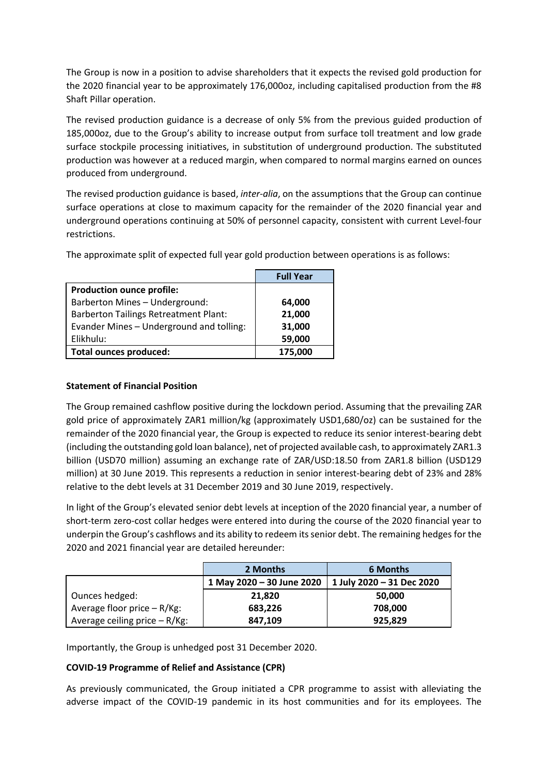The Group is now in a position to advise shareholders that it expects the revised gold production for the 2020 financial year to be approximately 176,000oz, including capitalised production from the #8 Shaft Pillar operation.

The revised production guidance is a decrease of only 5% from the previous guided production of 185,000oz, due to the Group's ability to increase output from surface toll treatment and low grade surface stockpile processing initiatives, in substitution of underground production. The substituted production was however at a reduced margin, when compared to normal margins earned on ounces produced from underground.

The revised production guidance is based, *inter-alia*, on the assumptions that the Group can continue surface operations at close to maximum capacity for the remainder of the 2020 financial year and underground operations continuing at 50% of personnel capacity, consistent with current Level-four restrictions.

|                                              | <b>Full Year</b> |
|----------------------------------------------|------------------|
| <b>Production ounce profile:</b>             |                  |
| Barberton Mines - Underground:               | 64,000           |
| <b>Barberton Tailings Retreatment Plant:</b> | 21,000           |
| Evander Mines - Underground and tolling:     | 31,000           |
| Elikhulu:                                    | 59,000           |
| <b>Total ounces produced:</b>                | 175,000          |

The approximate split of expected full year gold production between operations is as follows:

## **Statement of Financial Position**

The Group remained cashflow positive during the lockdown period. Assuming that the prevailing ZAR gold price of approximately ZAR1 million/kg (approximately USD1,680/oz) can be sustained for the remainder of the 2020 financial year, the Group is expected to reduce its senior interest-bearing debt (including the outstanding gold loan balance), net of projected available cash, to approximately ZAR1.3 billion (USD70 million) assuming an exchange rate of ZAR/USD:18.50 from ZAR1.8 billion (USD129 million) at 30 June 2019. This represents a reduction in senior interest-bearing debt of 23% and 28% relative to the debt levels at 31 December 2019 and 30 June 2019, respectively.

In light of the Group's elevated senior debt levels at inception of the 2020 financial year, a number of short-term zero-cost collar hedges were entered into during the course of the 2020 financial year to underpin the Group's cashflows and its ability to redeem its senior debt. The remaining hedges for the 2020 and 2021 financial year are detailed hereunder:

|                               | 2 Months                  | 6 Months                  |
|-------------------------------|---------------------------|---------------------------|
|                               | 1 May 2020 - 30 June 2020 | 1 July 2020 - 31 Dec 2020 |
| Ounces hedged:                | 21,820                    | 50,000                    |
| Average floor price - R/Kg:   | 683,226                   | 708,000                   |
| Average ceiling price - R/Kg: | 847,109                   | 925,829                   |

Importantly, the Group is unhedged post 31 December 2020.

# **COVID-19 Programme of Relief and Assistance (CPR)**

As previously communicated, the Group initiated a CPR programme to assist with alleviating the adverse impact of the COVID-19 pandemic in its host communities and for its employees. The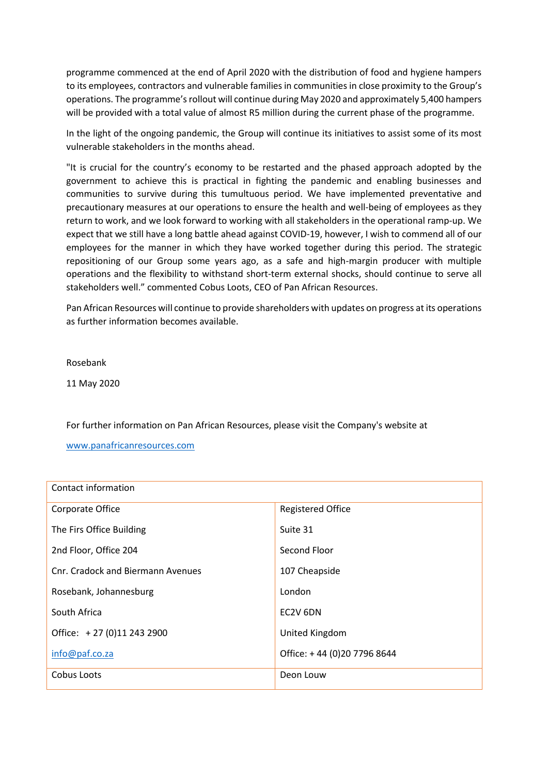programme commenced at the end of April 2020 with the distribution of food and hygiene hampers to its employees, contractors and vulnerable families in communities in close proximity to the Group's operations. The programme's rollout will continue during May 2020 and approximately 5,400 hampers will be provided with a total value of almost R5 million during the current phase of the programme.

In the light of the ongoing pandemic, the Group will continue its initiatives to assist some of its most vulnerable stakeholders in the months ahead.

"It is crucial for the country's economy to be restarted and the phased approach adopted by the government to achieve this is practical in fighting the pandemic and enabling businesses and communities to survive during this tumultuous period. We have implemented preventative and precautionary measures at our operations to ensure the health and well-being of employees as they return to work, and we look forward to working with all stakeholders in the operational ramp-up. We expect that we still have a long battle ahead against COVID-19, however, I wish to commend all of our employees for the manner in which they have worked together during this period. The strategic repositioning of our Group some years ago, as a safe and high-margin producer with multiple operations and the flexibility to withstand short-term external shocks, should continue to serve all stakeholders well." commented Cobus Loots, CEO of Pan African Resources.

Pan African Resources will continue to provide shareholders with updates on progress at its operations as further information becomes available.

Rosebank

11 May 2020

For further information on Pan African Resources, please visit the Company's website at

[www.panafricanresources.com](http://www.panafricanresources.com/)

| Contact information               |                             |  |
|-----------------------------------|-----------------------------|--|
| Corporate Office                  | <b>Registered Office</b>    |  |
| The Firs Office Building          | Suite 31                    |  |
| 2nd Floor, Office 204             | Second Floor                |  |
| Cnr. Cradock and Biermann Avenues | 107 Cheapside               |  |
| Rosebank, Johannesburg            | London                      |  |
| South Africa                      | EC2V 6DN                    |  |
| Office: +27 (0)11 243 2900        | United Kingdom              |  |
| info@paf.co.za                    | Office: +44 (0)20 7796 8644 |  |
| Cobus Loots                       | Deon Louw                   |  |